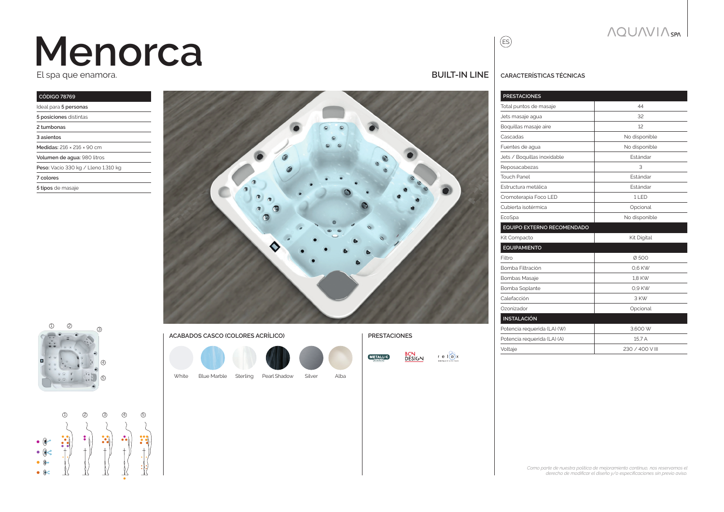# **Menorca**

El spa que enamora.

| <b>CÓDIGO 78769</b>                 |
|-------------------------------------|
| Ideal para 5 personas               |
| 5 posiciones distintas              |
| 2 tumbonas                          |
| 3 asientos                          |
| Medidas: 216 × 216 × 90 cm          |
| Volumen de aqua: 980 litros         |
| Peso: Vacio 330 kg / Lleno 1.310 kg |
| 7 colores                           |
| 5 tipos de masaje                   |
|                                     |





 $\begin{array}{c}\n\bullet & \circ \\
\bullet & \circ \\
\bullet & \circ\n\end{array}$  $\bullet$   $\bullet$  $\bullet$   $\bullet$ 

1 2 3 4 5

| T ACABADOS CASCO (COLORES ACRILICO) |
|-------------------------------------|
|                                     |

White Blue Marble Sterling Pearl Shadow Silver Alba



#### **BUILT-IN line**

ES

**Características técnicas**

| <b>PRESTACIONES</b>         |                 |
|-----------------------------|-----------------|
| Total puntos de masaje      | 44              |
| Jets masaje agua            | 32              |
| Boquillas masaje aire       | 12              |
| Cascadas                    | No disponible   |
| Fuentes de aqua             | No disponible   |
| Jets / Boquillas inoxidable | Fstándar        |
| Reposacabezas               | 3               |
| <b>Touch Panel</b>          | <b>Fstándar</b> |
| Estructura metálica         | Fstándar        |
| Cromoterapia Foco LED       | 11 FD           |
| Cubierta isotérmica         | Opcional        |
| EcoSpa                      | No disponible   |
| EQUIPO EXTERNO RECOMENDADO  |                 |
| Kit Compacto                | Kit Digital     |
| <b>EQUIPAMIENTO</b>         |                 |
| Filtro                      | Ø500            |
| Bomba Filtración            | 0.6 KW          |
| <b>Bombas Masaje</b>        | 1.8 KW          |
| Bomba Soplante              | 0.9 KW          |
| Calefacción                 | 3 KW            |
| Ozonizador                  | Opcional        |
| <b>INSTALACIÓN</b>          |                 |
| Potencia requerida (LA) (W) | 3.600 W         |
| Potencia requerida (LA) (A) | 15.7 A          |
| Voltaje                     | 230 / 400 V III |
|                             |                 |

#### *Como parte de nuestra política de mejoramiento continuo, nos reservamos el*

*derecho de modificar el diseño y/o especificaciones sin previo aviso.*

### **NQUAVIA** SPN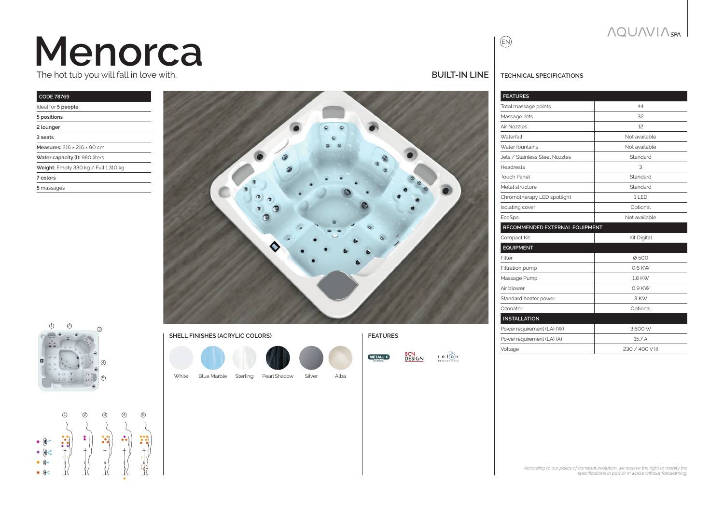## **Menorca** The hot tub you will fall in love with.

| <b>CODE 78769</b>                      |
|----------------------------------------|
| Ideal for 5 people                     |
| 5 positions                            |
| 2 lounger                              |
| 3 seats                                |
| Measures: 216 × 216 × 90 cm            |
| Water capacity (I): 980 liters         |
| Weight: Empty 330 kg / Full $1.310$ kg |
| 7 colors                               |
| 5 massages                             |
|                                        |





### 1 2 3 4 5  $\begin{array}{c} \bullet & @ \bullet \\ \bullet & @ \diamondsuit \end{array}$  $\bullet$   $\bullet$  $\bullet$   $\bullet$

White Blue Marble Sterling Pearl Shadow Silver Alba

#### **BUILT-IN line**

**BCN**<br>DESIGN

**METALLIC** 

 $r \in \mathbb{I}$   $\odot$  x

#### **TECHNICAL SPECIFICATIONS**

EN

| <b>FEATURES</b>                |                 |
|--------------------------------|-----------------|
| Total massage points           | 44              |
| Massage Jets                   | 32              |
| Air Nozzles                    | 12              |
| Waterfall                      | Not available   |
| Water fountains                | Not available   |
| Jets / Stainless Steel Nozzles | Standard        |
| <b>Headrests</b>               | 3               |
| <b>Touch Panel</b>             | Standard        |
| Metal structure                | Standard        |
| Chromotherapy LED spotlight    | 1LED            |
| Isolating cover                | Optional        |
| EcoSpa                         | Not available   |
| RECOMMENDED EXTERNAL EQUIPMENT |                 |
| Compact Kit                    | Kit Digital     |
| <b>EQUIPMENT</b>               |                 |
| Filter                         | Ø500            |
| Filtration pump                | 0.6 KW          |
| Massage Pump                   | 1.8 KW          |
| Air blower                     | 0.9 KW          |
| Standard heater power          | 3 KW            |
| Ozonator                       | Optional        |
| <b>INSTALLATION</b>            |                 |
| Power requirement (LA) (W)     | 3.600 W         |
| Power requirement (LA) (A)     | 15.7 A          |
| Voltage                        | 230 / 400 V III |

*According to our policy of constant evolution, we reserve the right to modify the specifications in part or in whole without forewarning.*

#### **NQUAVIA** SPN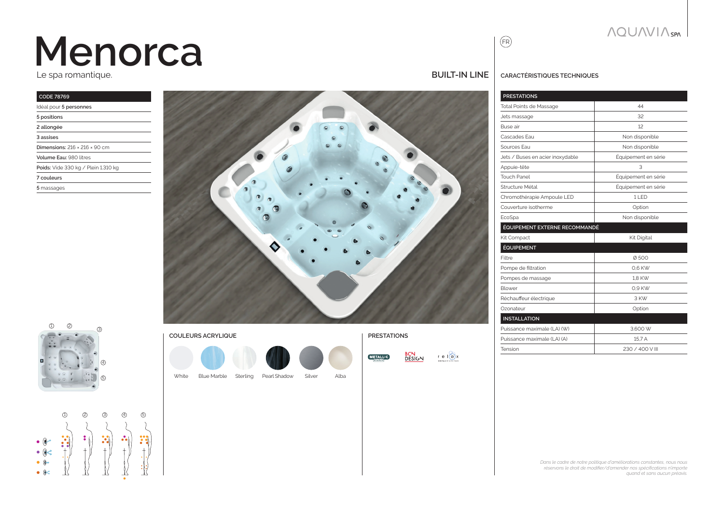# **Menorca**

Le spa romantique.

| <b>CODE 78769</b>                         |
|-------------------------------------------|
| Idéal pour 5 personnes                    |
| 5 positions                               |
| 2 allongée                                |
| 3 assises                                 |
| Dimensions: $216 \times 216 \times 90$ cm |
| Volume Eau: 980 litres                    |
| Poids: Vide 330 kg / Plein 1.310 kg       |
| 7 couleurs                                |
| 5 massages                                |
|                                           |





|   | 1 | 2 | З | A | G. |
|---|---|---|---|---|----|
|   |   |   |   |   |    |
|   |   | ٠ |   |   |    |
|   |   |   |   |   |    |
|   |   |   |   |   |    |
| w |   |   |   |   |    |

τ

#### **BUILT-IN line**

#### **CaractÉrIstiQUEs tECHniQUEs**

FR

| <b>PRESTATIONS</b>               |                     |
|----------------------------------|---------------------|
| <b>Total Points de Massage</b>   | 44                  |
| Jets massage                     | 32                  |
| Buse air                         | 12                  |
| Cascades Fau                     | Non disponible      |
| Sources Fau                      | Non disponible      |
| Jets / Buses en acier inoxydable | Équipement en série |
| Appuie-tête                      | 3                   |
| <b>Touch Panel</b>               | Équipement en série |
| Structure Métal                  | Équipement en série |
| Chromothérapie Ampoule LED       | 11 FD               |
| Couverture isotherme             | Option              |
| EcoSpa                           | Non disponible      |
| ÉQUIPEMENT EXTERNE RECOMMANDÉ    |                     |
| Kit Compact                      | Kit Digital         |
| <b>ÉQUIPEMENT</b>                |                     |
| Filtre                           | Ø500                |
| Pompe de filtration              | 0.6 KW              |
| Pompes de massage                | 1.8 KW              |
| Blower                           | 0.9 KW              |
| Réchauffeur électrique           | 3 KW                |
| Ozonateur                        | Option              |
| <b>INSTALLATION</b>              |                     |
| Puissance maximale (LA) (W)      | 3.600 W             |
| Puissance maximale (LA) (A)      | 15.7 A              |
| Tension                          | 230 / 400 V III     |
|                                  |                     |

**COULEURS ACRYLIQUE PRESTATIONS** White Blue Marble Sterling Pearl Shadow Silver Alba

**BCN**<br>DESIGN  $r \in \mathbb{I}$   $\odot$  x **METALLIC** 

*Dans le cadre de notre politique d'améliorations constantes, nous nous réservons le droit de modifier/d'amender nos spécifications n'importe quand et sans aucun préavis.*

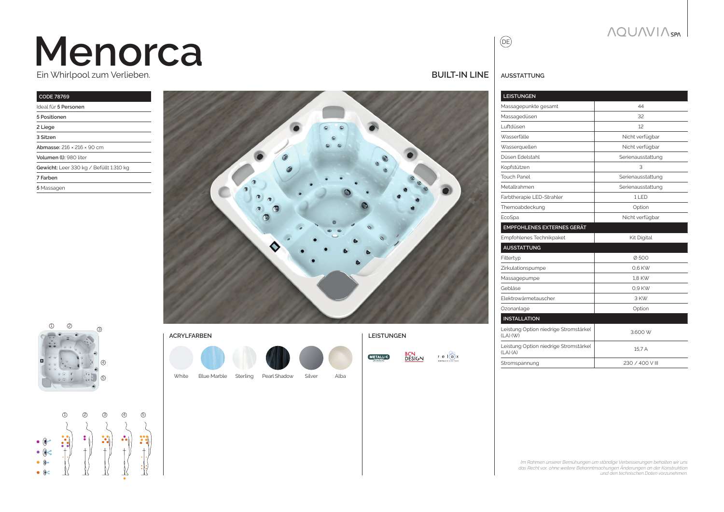## **Menorca** Ein Whirlpool zum Verlieben.

#### **CODE 78769** Ideal für **5 Personen 5 Positionen 2 Liege 3 Sitzen Abmasse:** 216 × 216 × 90 cm **Volumen (l):** 980 liter **Gewicht:** Leer 330 kg / Befüllt 1.310 kg **7 Farben**

**5** Massagen



## $\mathbb D$  2 3 4  $(5)$

### 1 2 3 4 5  $\begin{array}{c} \bullet & @ \bullet \\ \bullet & @ \diamondsuit \end{array}$  $\bullet$   $\bullet$  $\bullet$   $\bullet$

| <b>ACRYLFARBEN</b> |                    |          |              |        |      |
|--------------------|--------------------|----------|--------------|--------|------|
|                    |                    |          |              |        |      |
| White              | <b>Blue Marble</b> | Sterling | Pearl Shadow | Silver | Alba |

**ACRYLFARBEN LEISTUNGEN**



**BUILT-IN line**

**AUSSTATTUNG**

 $\circledR$ 

| <b>LEISTUNGEN</b>                                     |                   |  |  |
|-------------------------------------------------------|-------------------|--|--|
| Massagepunkte gesamt                                  | 44                |  |  |
| Massagedüsen                                          | 32                |  |  |
| Luftdüsen                                             | 12                |  |  |
| Wasserfälle                                           | Nicht verfügbar   |  |  |
| Wasserquellen                                         | Nicht verfügbar   |  |  |
| Düsen Edelstahl                                       | Serienausstattung |  |  |
| Kopfstützen                                           | 3                 |  |  |
| <b>Touch Panel</b>                                    | Serienausstattung |  |  |
| Metallrahmen                                          | Serienausstattung |  |  |
| Farbtherapie LED-Strahler                             | 11 FD             |  |  |
| Themoabdeckung                                        | Option            |  |  |
| EcoSpa                                                | Nicht verfügbar   |  |  |
| <b>EMPFOHLENES EXTERNES GERÄT</b>                     |                   |  |  |
| Empfohlenes Technikpaket                              | Kit Digital       |  |  |
| <b>AUSSTATTUNG</b>                                    |                   |  |  |
| Filtertyp                                             | Ø500              |  |  |
| Zirkulationspumpe                                     | 0.6 KW            |  |  |
| Massagepumpe                                          | 1.8 KW            |  |  |
| Gebläse                                               | 0,9 KW            |  |  |
| Flektrowärmetauscher                                  | 3 KW              |  |  |
| Ozonanlage                                            | Option            |  |  |
| <b>INSTALLATION</b>                                   |                   |  |  |
| Leistung Option niedrige Stromstärke(<br>$(LA)$ (W)   | 3.600 W           |  |  |
| Leistung Option niedrige Stromstärke(<br>$(LA)$ $(A)$ | 15.7 A            |  |  |
| Stromspannung                                         | 230 / 400 V III   |  |  |

*Im Rahmen unserer Bemühungen um ständige Verbesserungen behalten wir uns das Recht vor, ohne weitere Bekanntmachungen Änderungen an der Konstruktion und den technischen Daten vorzunehmen.*

**AQUAVIA**SPA